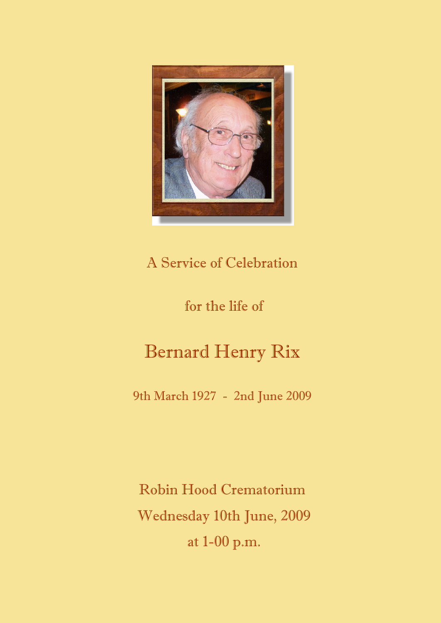

# A Service of Celebration

# for the life of

# Bernard Henry Rix

9th March 1927 - 2nd June 2009

Robin Hood Crematorium Wednesday 10th June, 2009 at 1-00 p.m.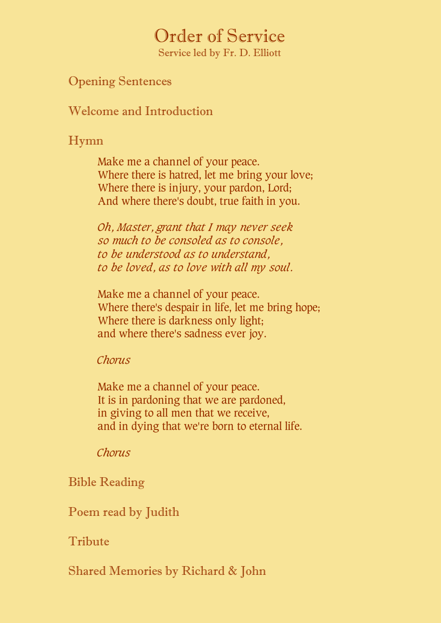# Order of Service

Service led by Fr. D. Elliott

## Opening Sentences

Welcome and Introduction

# Hymn

Make me a channel of your peace. Where there is hatred, let me bring your love; Where there is injury, your pardon, Lord; And where there's doubt, true faith in you.

*Oh, Master, grant that I may never seek so much to be consoled as to console, to be understood as to understand, to be loved, as to love with all my soul.*

Make me a channel of your peace. Where there's despair in life, let me bring hope; Where there is darkness only light; and where there's sadness ever joy.

## *Chorus*

Make me a channel of your peace. It is in pardoning that we are pardoned, in giving to all men that we receive, and in dying that we're born to eternal life.

## *Chorus*

# Bible Reading

Poem read by Judith

# Tribute

Shared Memories by Richard & John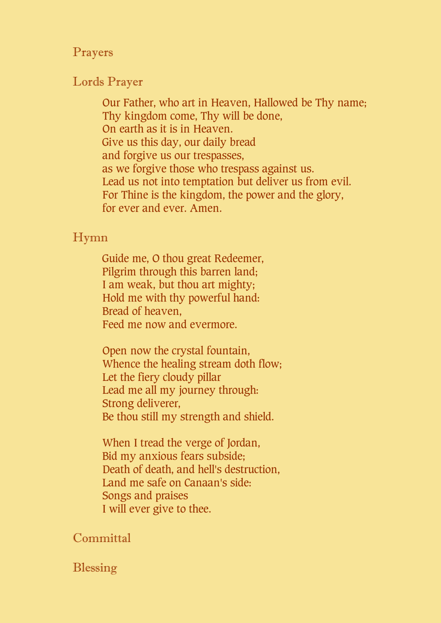#### Prayers

#### Lords Prayer

Our Father, who art in Heaven, Hallowed be Thy name; Thy kingdom come, Thy will be done, On earth as it is in Heaven. Give us this day, our daily bread and forgive us our trespasses, as we forgive those who trespass against us. Lead us not into temptation but deliver us from evil. For Thine is the kingdom, the power and the glory, for ever and ever. Amen.

#### Hymn

Guide me, O thou great Redeemer, Pilgrim through this barren land; I am weak, but thou art mighty; Hold me with thy powerful hand: Bread of heaven, Feed me now and evermore.

Open now the crystal fountain, Whence the healing stream doth flow; Let the fiery cloudy pillar Lead me all my journey through: Strong deliverer, Be thou still my strength and shield.

When I tread the verge of Jordan, Bid my anxious fears subside; Death of death, and hell's destruction, Land me safe on Canaan's side: Songs and praises I will ever give to thee.

## **Committal**

## Blessing